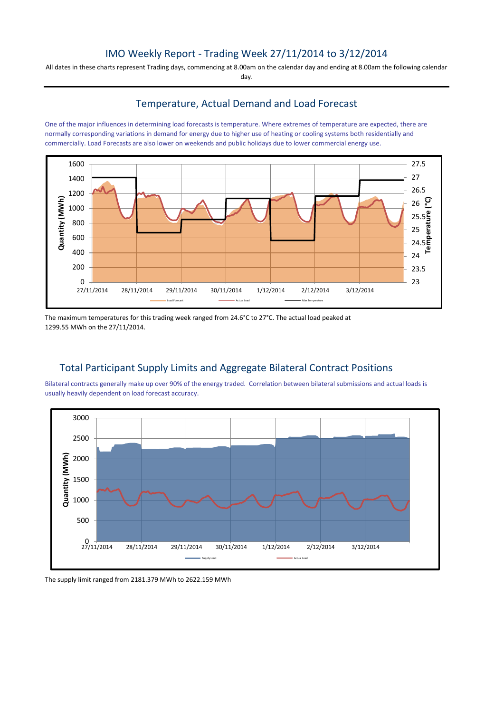# IMO Weekly Report - Trading Week 27/11/2014 to 3/12/2014

All dates in these charts represent Trading days, commencing at 8.00am on the calendar day and ending at 8.00am the following calendar day.

## Temperature, Actual Demand and Load Forecast

One of the major influences in determining load forecasts is temperature. Where extremes of temperature are expected, there are normally corresponding variations in demand for energy due to higher use of heating or cooling systems both residentially and commercially. Load Forecasts are also lower on weekends and public holidays due to lower commercial energy use.



The maximum temperatures for this trading week ranged from 24.6°C to 27°C. The actual load peaked at 1299.55 MWh on the 27/11/2014.

## Total Participant Supply Limits and Aggregate Bilateral Contract Positions

Bilateral contracts generally make up over 90% of the energy traded. Correlation between bilateral submissions and actual loads is usually heavily dependent on load forecast accuracy.



The supply limit ranged from 2181.379 MWh to 2622.159 MWh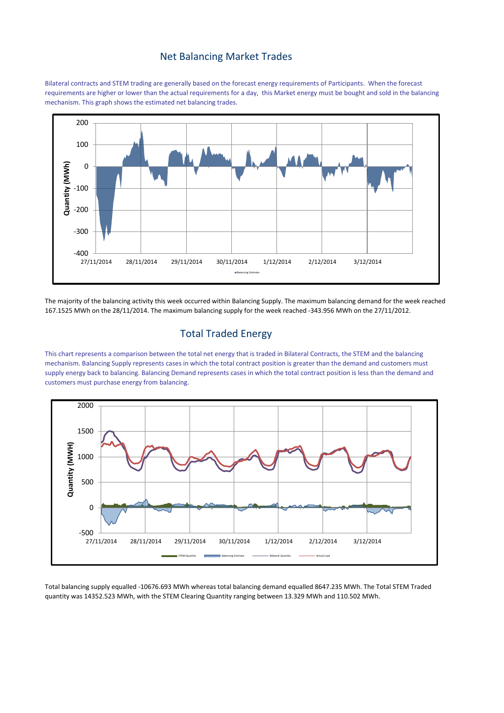#### Net Balancing Market Trades

Bilateral contracts and STEM trading are generally based on the forecast energy requirements of Participants. When the forecast requirements are higher or lower than the actual requirements for a day, this Market energy must be bought and sold in the balancing mechanism. This graph shows the estimated net balancing trades.



The majority of the balancing activity this week occurred within Balancing Supply. The maximum balancing demand for the week reached 167.1525 MWh on the 28/11/2014. The maximum balancing supply for the week reached -343.956 MWh on the 27/11/2012.

### Total Traded Energy

This chart represents a comparison between the total net energy that is traded in Bilateral Contracts, the STEM and the balancing mechanism. Balancing Supply represents cases in which the total contract position is greater than the demand and customers must supply energy back to balancing. Balancing Demand represents cases in which the total contract position is less than the demand and customers must purchase energy from balancing.



Total balancing supply equalled -10676.693 MWh whereas total balancing demand equalled 8647.235 MWh. The Total STEM Traded quantity was 14352.523 MWh, with the STEM Clearing Quantity ranging between 13.329 MWh and 110.502 MWh.